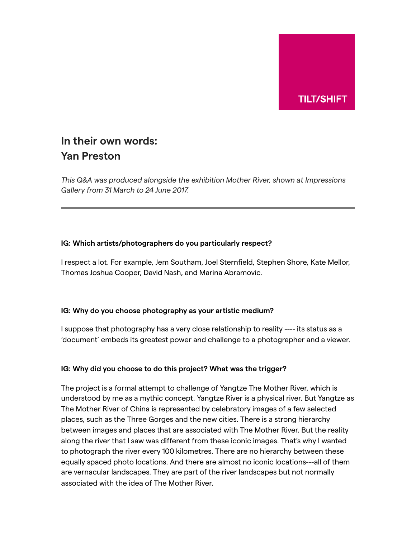

# **In their own words: Yan Preston**

*This Q&A was produced alongside the exhibition Mother River, shown at Impressions Gallery from 31 March to 24 June 2017.*

## **IG: Which artists/photographers do you particularly respect?**

I respect a lot. For example, Jem Southam, Joel Sternfield, Stephen Shore, Kate Mellor, Thomas Joshua Cooper, David Nash, and Marina Abramovic.

# **IG: Why do you choose photography as your artistic medium?**

I suppose that photography has a very close relationship to reality ---- its status as a 'document' embeds its greatest power and challenge to a photographer and a viewer.

# **IG: Why did you choose to do this project? What was the trigger?**

The project is a formal attempt to challenge of Yangtze The Mother River, which is understood by me as a mythic concept. Yangtze River is a physical river. But Yangtze as The Mother River of China is represented by celebratory images of a few selected places, such as the Three Gorges and the new cities. There is a strong hierarchy between images and places that are associated with The Mother River. But the reality along the river that I saw was different from these iconic images. That's why I wanted to photograph the river every 100 kilometres. There are no hierarchy between these equally spaced photo locations. And there are almost no iconic locations---all of them are vernacular landscapes. They are part of the river landscapes but not normally associated with the idea of The Mother River.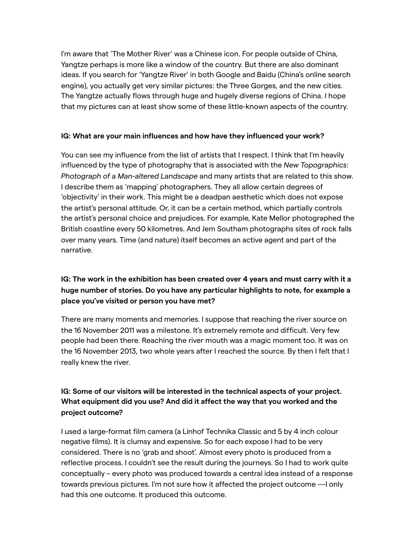I'm aware that 'The Mother River' was a Chinese icon. For people outside of China, Yangtze perhaps is more like a window of the country. But there are also dominant ideas. If you search for 'Yangtze River' in both Google and Baidu (China's online search engine), you actually get very similar pictures: the Three Gorges, and the new cities. The Yangtze actually flows through huge and hugely diverse regions of China. I hope that my pictures can at least show some of these little-known aspects of the country.

#### **IG: What are your main influences and how have they influenced your work?**

You can see my influence from the list of artists that I respect. I think that I'm heavily influenced by the type of photography that is associated with the *New Topographics: Photograph of a Man-altered Landscape* and many artists that are related to this show. I describe them as 'mapping' photographers. They all allow certain degrees of 'objectivity' in their work. This might be a deadpan aesthetic which does not expose the artist's personal attitude. Or, it can be a certain method, which partially controls the artist's personal choice and prejudices. For example, Kate Mellor photographed the British coastline every 50 kilometres. And Jem Southam photographs sites of rock falls over many years. Time (and nature) itself becomes an active agent and part of the narrative.

# **IG: The work in the exhibition has been created over 4 years and must carry with it a huge number of stories. Do you have any particular highlights to note, for example a place you've visited or person you have met?**

There are many moments and memories. I suppose that reaching the river source on the 16 November 2011 was a milestone. It's extremely remote and difficult. Very few people had been there. Reaching the river mouth was a magic moment too. It was on the 16 November 2013, two whole years after I reached the source. By then I felt that I really knew the river.

# **IG: Some of our visitors will be interested in the technical aspects of your project. What equipment did you use? And did it affect the way that you worked and the project outcome?**

I used a large-format film camera (a Linhof Technika Classic and 5 by 4 inch colour negative films). It is clumsy and expensive. So for each expose I had to be very considered. There is no 'grab and shoot'. Almost every photo is produced from a reflective process. I couldn't see the result during the journeys. So I had to work quite conceptually – every photo was produced towards a central idea instead of a response towards previous pictures. I'm not sure how it affected the project outcome ---I only had this one outcome. It produced this outcome.